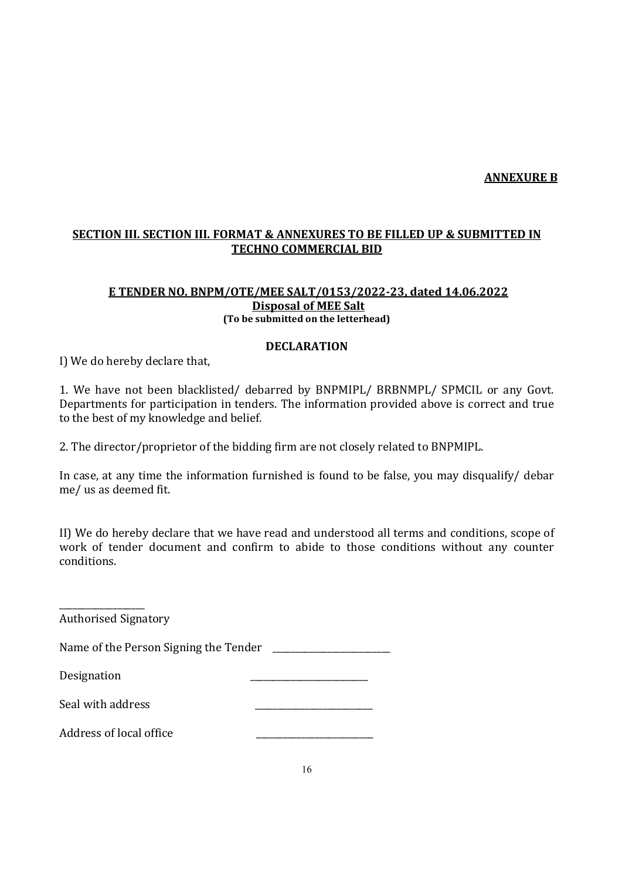### ANNEXURE B

## SECTION III. SECTION III. FORMAT & ANNEXURES TO BE FILLED UP & SUBMITTED IN TECHNO COMMERCIAL BID

#### E TENDER NO. BNPM/OTE/MEE SALT/0153/2022-23, dated 14.06.2022 Disposal of MEE Salt (To be submitted on the letterhead)

#### DECLARATION

I) We do hereby declare that,

1. We have not been blacklisted/ debarred by BNPMIPL/ BRBNMPL/ SPMCIL or any Govt. Departments for participation in tenders. The information provided above is correct and true to the best of my knowledge and belief.

2. The director/proprietor of the bidding firm are not closely related to BNPMIPL.

In case, at any time the information furnished is found to be false, you may disqualify/ debar me/ us as deemed fit.

II) We do hereby declare that we have read and understood all terms and conditions, scope of work of tender document and confirm to abide to those conditions without any counter conditions.

\_\_\_\_\_\_\_\_\_\_\_\_\_\_\_\_\_\_\_ Authorised Signatory Name of the Person Signing the Tender Designation Seal with address Address of local office \_\_\_\_\_\_\_\_\_\_\_\_\_\_\_\_\_\_\_\_\_\_\_\_\_\_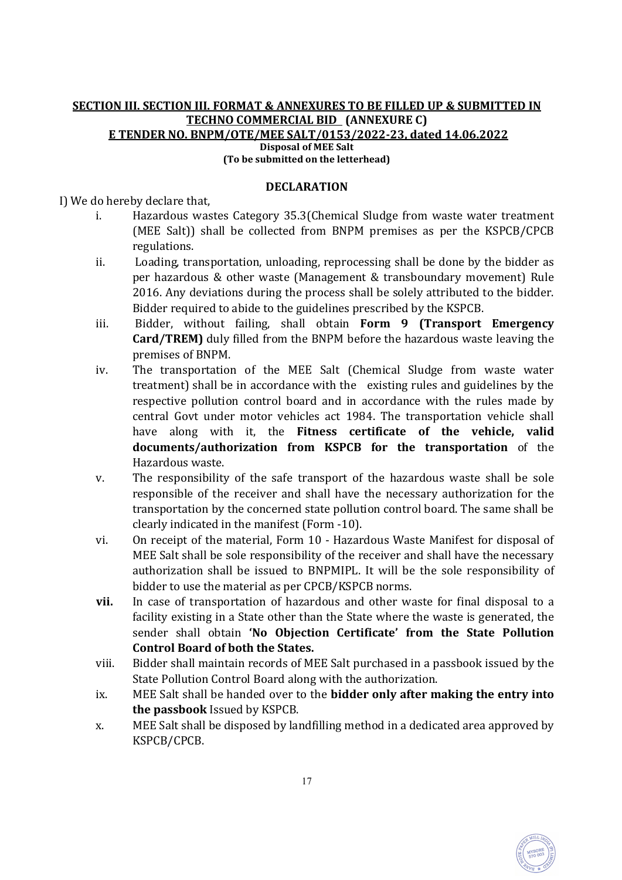### SECTION III. SECTION III. FORMAT & ANNEXURES TO BE FILLED UP & SUBMITTED IN TECHNO COMMERCIAL BID (ANNEXURE C) E TENDER NO. BNPM/OTE/MEE SALT/0153/2022-23, dated 14.06.2022 Disposal of MEE Salt (To be submitted on the letterhead)

### DECLARATION

I) We do hereby declare that,

- i. Hazardous wastes Category 35.3(Chemical Sludge from waste water treatment (MEE Salt)) shall be collected from BNPM premises as per the KSPCB/CPCB regulations.
- ii. Loading, transportation, unloading, reprocessing shall be done by the bidder as per hazardous & other waste (Management & transboundary movement) Rule 2016. Any deviations during the process shall be solely attributed to the bidder. Bidder required to abide to the guidelines prescribed by the KSPCB.
- iii. Bidder, without failing, shall obtain Form 9 (Transport Emergency Card/TREM) duly filled from the BNPM before the hazardous waste leaving the premises of BNPM.
- iv. The transportation of the MEE Salt (Chemical Sludge from waste water treatment) shall be in accordance with the existing rules and guidelines by the respective pollution control board and in accordance with the rules made by central Govt under motor vehicles act 1984. The transportation vehicle shall have along with it, the Fitness certificate of the vehicle, valid documents/authorization from KSPCB for the transportation of the Hazardous waste.
- v. The responsibility of the safe transport of the hazardous waste shall be sole responsible of the receiver and shall have the necessary authorization for the transportation by the concerned state pollution control board. The same shall be clearly indicated in the manifest (Form -10).
- vi. On receipt of the material, Form 10 Hazardous Waste Manifest for disposal of MEE Salt shall be sole responsibility of the receiver and shall have the necessary authorization shall be issued to BNPMIPL. It will be the sole responsibility of bidder to use the material as per CPCB/KSPCB norms.
- vii. In case of transportation of hazardous and other waste for final disposal to a facility existing in a State other than the State where the waste is generated, the sender shall obtain 'No Objection Certificate' from the State Pollution Control Board of both the States.
- viii. Bidder shall maintain records of MEE Salt purchased in a passbook issued by the State Pollution Control Board along with the authorization.
- ix. MEE Salt shall be handed over to the bidder only after making the entry into the passbook Issued by KSPCB.
- x. MEE Salt shall be disposed by landfilling method in a dedicated area approved by KSPCB/CPCB.